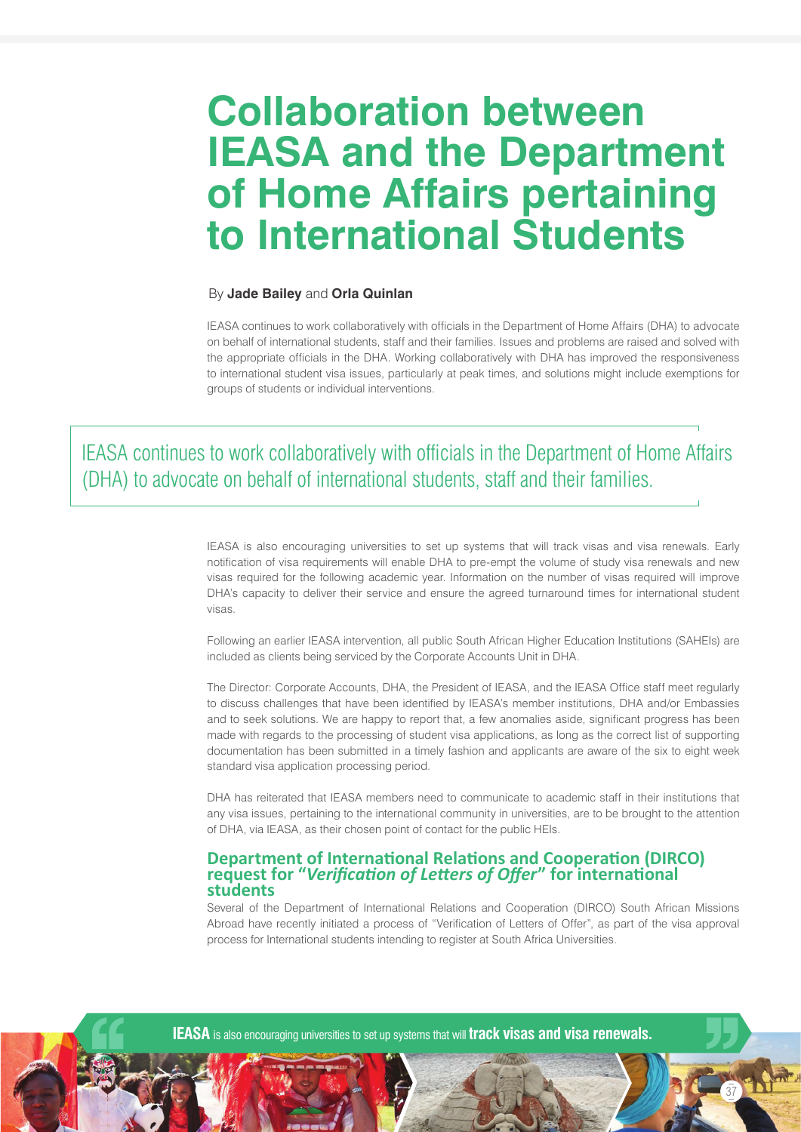# **Collaboration between IEASA and the Department of Home Affairs pertaining to International Students**

#### By **Jade Bailey** and **Orla Quinlan**

IEASA continues to work collaboratively with officials in the Department of Home Affairs (DHA) to advocate on behalf of international students, staff and their families. Issues and problems are raised and solved with the appropriate officials in the DHA. Working collaboratively with DHA has improved the responsiveness to international student visa issues, particularly at peak times, and solutions might include exemptions for groups of students or individual interventions.

IEASA continues to work collaboratively with officials in the Department of Home Affairs (DHA) to advocate on behalf of international students, staff and their families.

> IEASA is also encouraging universities to set up systems that will track visas and visa renewals. Early notification of visa requirements will enable DHA to pre-empt the volume of study visa renewals and new visas required for the following academic year. Information on the number of visas required will improve DHA's capacity to deliver their service and ensure the agreed turnaround times for international student visas.

> Following an earlier IEASA intervention, all public South African Higher Education Institutions (SAHEIs) are included as clients being serviced by the Corporate Accounts Unit in DHA.

> The Director: Corporate Accounts, DHA, the President of IEASA, and the IEASA Office staff meet regularly to discuss challenges that have been identified by IEASA's member institutions, DHA and/or Embassies and to seek solutions. We are happy to report that, a few anomalies aside, significant progress has been made with regards to the processing of student visa applications, as long as the correct list of supporting documentation has been submitted in a timely fashion and applicants are aware of the six to eight week standard visa application processing period.

> DHA has reiterated that IEASA members need to communicate to academic staff in their institutions that any visa issues, pertaining to the international community in universities, are to be brought to the attention of DHA, via IEASA, as their chosen point of contact for the public HEIs.

## **Department of International Relations and Cooperation (DIRCO) request for "***Verification of Letters of Offer***" for international students**

Several of the Department of International Relations and Cooperation (DIRCO) South African Missions Abroad have recently initiated a process of "Verification of Letters of Offer", as part of the visa approval process for International students intending to register at South Africa Universities.

37

**IEASA** is also encouraging universities to set up systems that will **track visas and visa renewals.**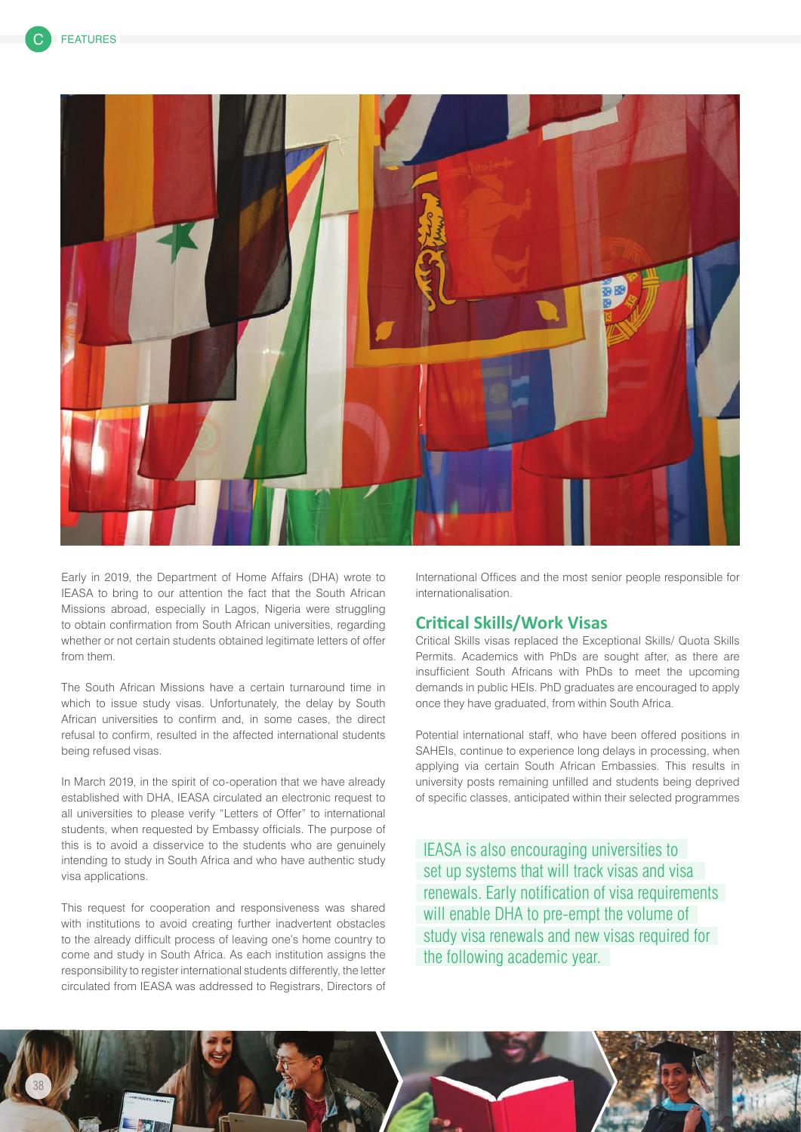

Early in 2019, the Department of Home Affairs (DHA) wrote to IEASA to bring to our attention the fact that the South African Missions abroad, especially in Lagos, Nigeria were struggling to obtain confirmation from South African universities, regarding whether or not certain students obtained legitimate letters of offer from them.

The South African Missions have a certain turnaround time in which to issue study visas. Unfortunately, the delay by South African universities to confirm and, in some cases, the direct refusal to confirm, resulted in the affected international students being refused visas.

In March 2019, in the spirit of co-operation that we have already established with DHA, IEASA circulated an electronic request to all universities to please verify "Letters of Offer" to international students, when requested by Embassy officials. The purpose of this is to avoid a disservice to the students who are genuinely intending to study in South Africa and who have authentic study visa applications.

This request for cooperation and responsiveness was shared with institutions to avoid creating further inadvertent obstacles to the already difficult process of leaving one's home country to come and study in South Africa. As each institution assigns the responsibility to register international students differently, the letter circulated from IEASA was addressed to Registrars, Directors of International Offices and the most senior people responsible for internationalisation.

## **Critical Skills/Work Visas**

Critical Skills visas replaced the Exceptional Skills/ Quota Skills Permits. Academics with PhDs are sought after, as there are insufficient South Africans with PhDs to meet the upcoming demands in public HEIs. PhD graduates are encouraged to apply once they have graduated, from within South Africa.

Potential international staff, who have been offered positions in SAHEIs, continue to experience long delays in processing, when applying via certain South African Embassies. This results in university posts remaining unfilled and students being deprived of specific classes, anticipated within their selected programmes

IEASA is also encouraging universities to set up systems that will track visas and visa renewals. Early notification of visa requirements will enable DHA to pre-empt the volume of study visa renewals and new visas required for the following academic year.

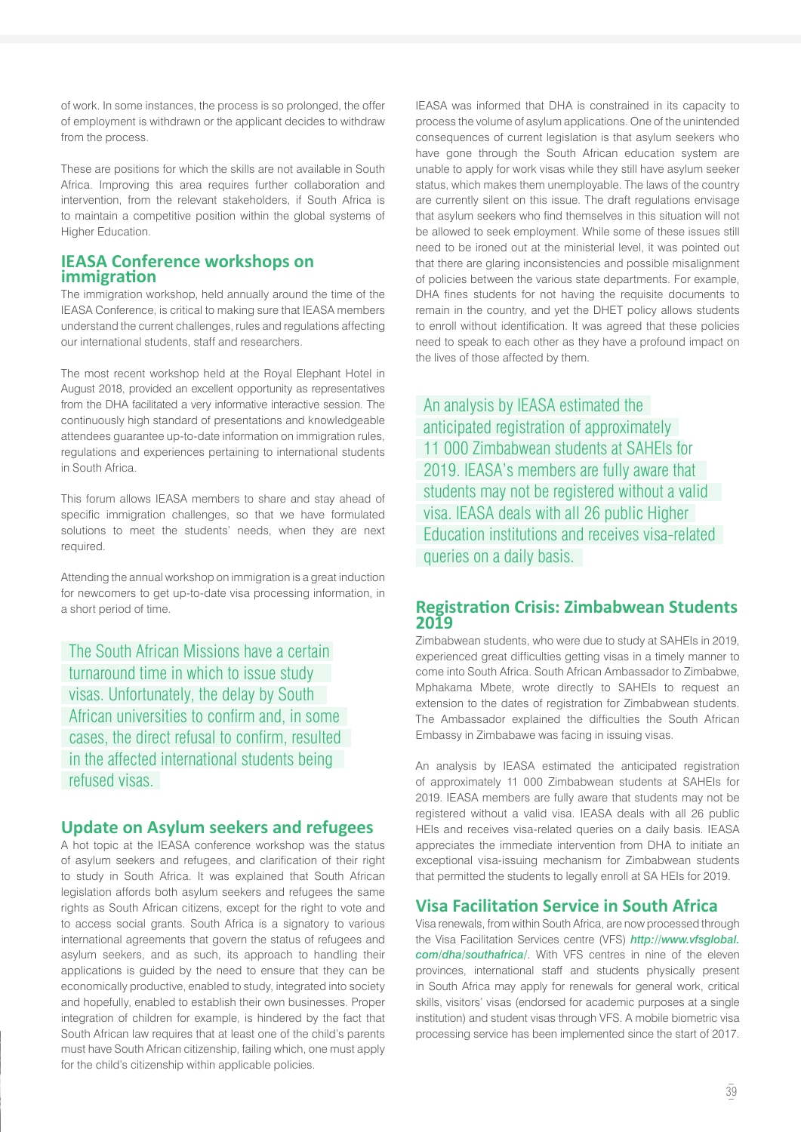of work. In some instances, the process is so prolonged, the offer of employment is withdrawn or the applicant decides to withdraw from the process.

These are positions for which the skills are not available in South Africa. Improving this area requires further collaboration and intervention, from the relevant stakeholders, if South Africa is to maintain a competitive position within the global systems of Higher Education.

# **IEASA Conference workshops on immigration**

The immigration workshop, held annually around the time of the IEASA Conference, is critical to making sure that IEASA members understand the current challenges, rules and regulations affecting our international students, staff and researchers.

The most recent workshop held at the Royal Elephant Hotel in August 2018, provided an excellent opportunity as representatives from the DHA facilitated a very informative interactive session. The continuously high standard of presentations and knowledgeable attendees guarantee up-to-date information on immigration rules, regulations and experiences pertaining to international students in South Africa.

This forum allows IEASA members to share and stay ahead of specific immigration challenges, so that we have formulated solutions to meet the students' needs, when they are next required.

Attending the annual workshop on immigration is a great induction for newcomers to get up-to-date visa processing information, in a short period of time.

The South African Missions have a certain turnaround time in which to issue study visas. Unfortunately, the delay by South African universities to confirm and, in some cases, the direct refusal to confirm, resulted in the affected international students being refused visas.

## **Update on Asylum seekers and refugees**

A hot topic at the IEASA conference workshop was the status of asylum seekers and refugees, and clarification of their right to study in South Africa. It was explained that South African legislation affords both asylum seekers and refugees the same rights as South African citizens, except for the right to vote and to access social grants. South Africa is a signatory to various international agreements that govern the status of refugees and asylum seekers, and as such, its approach to handling their applications is guided by the need to ensure that they can be economically productive, enabled to study, integrated into society and hopefully, enabled to establish their own businesses. Proper integration of children for example, is hindered by the fact that South African law requires that at least one of the child's parents must have South African citizenship, failing which, one must apply for the child's citizenship within applicable policies.

IEASA was informed that DHA is constrained in its capacity to process the volume of asylum applications. One of the unintended consequences of current legislation is that asylum seekers who have gone through the South African education system are unable to apply for work visas while they still have asylum seeker status, which makes them unemployable. The laws of the country are currently silent on this issue. The draft regulations envisage that asylum seekers who find themselves in this situation will not be allowed to seek employment. While some of these issues still need to be ironed out at the ministerial level, it was pointed out that there are glaring inconsistencies and possible misalignment of policies between the various state departments. For example, DHA fines students for not having the requisite documents to remain in the country, and yet the DHET policy allows students to enroll without identification. It was agreed that these policies need to speak to each other as they have a profound impact on the lives of those affected by them.

An analysis by IEASA estimated the anticipated registration of approximately 11 000 Zimbabwean students at SAHEIs for 2019. IEASA's members are fully aware that students may not be registered without a valid visa. IEASA deals with all 26 public Higher Education institutions and receives visa-related queries on a daily basis.

# **Registration Crisis: Zimbabwean Students 2019**

Zimbabwean students, who were due to study at SAHEIs in 2019, experienced great difficulties getting visas in a timely manner to come into South Africa. South African Ambassador to Zimbabwe, Mphakama Mbete, wrote directly to SAHEIs to request an extension to the dates of registration for Zimbabwean students. The Ambassador explained the difficulties the South African Embassy in Zimbabawe was facing in issuing visas.

An analysis by IEASA estimated the anticipated registration of approximately 11 000 Zimbabwean students at SAHEIs for 2019. IEASA members are fully aware that students may not be registered without a valid visa. IEASA deals with all 26 public HEIs and receives visa-related queries on a daily basis. IEASA appreciates the immediate intervention from DHA to initiate an exceptional visa-issuing mechanism for Zimbabwean students that permitted the students to legally enroll at SA HEIs for 2019.

# **Visa Facilitation Service in South Africa**

Visa renewals, from within South Africa, are now processed through the Visa Facilitation Services centre (VFS) *http://www.vfsglobal. com/dha/southafrica/*. With VFS centres in nine of the eleven provinces, international staff and students physically present in South Africa may apply for renewals for general work, critical skills, visitors' visas (endorsed for academic purposes at a single institution) and student visas through VFS. A mobile biometric visa processing service has been implemented since the start of 2017.